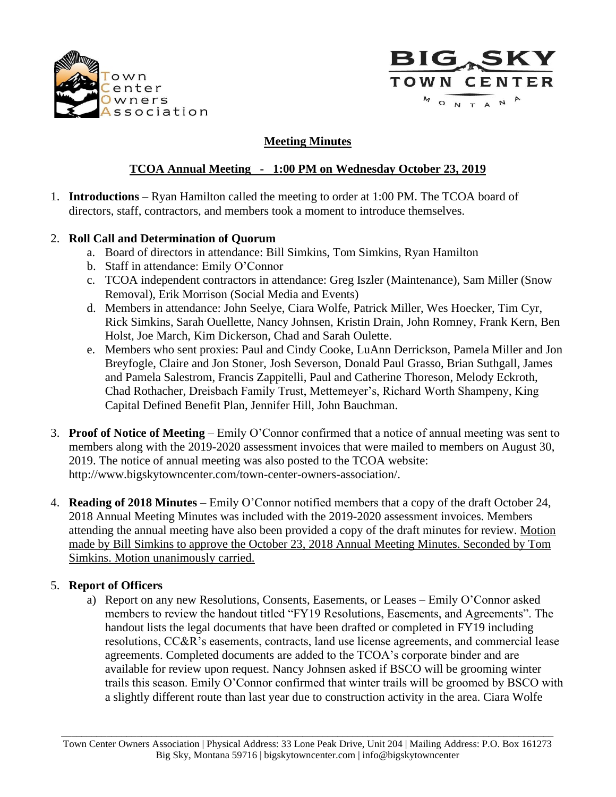



### **Meeting Minutes**

# **TCOA Annual Meeting - 1:00 PM on Wednesday October 23, 2019**

1. **Introductions** – Ryan Hamilton called the meeting to order at 1:00 PM. The TCOA board of directors, staff, contractors, and members took a moment to introduce themselves.

### 2. **Roll Call and Determination of Quorum**

- a. Board of directors in attendance: Bill Simkins, Tom Simkins, Ryan Hamilton
- b. Staff in attendance: Emily O'Connor
- c. TCOA independent contractors in attendance: Greg Iszler (Maintenance), Sam Miller (Snow Removal), Erik Morrison (Social Media and Events)
- d. Members in attendance: John Seelye, Ciara Wolfe, Patrick Miller, Wes Hoecker, Tim Cyr, Rick Simkins, Sarah Ouellette, Nancy Johnsen, Kristin Drain, John Romney, Frank Kern, Ben Holst, Joe March, Kim Dickerson, Chad and Sarah Oulette.
- e. Members who sent proxies: Paul and Cindy Cooke, LuAnn Derrickson, Pamela Miller and Jon Breyfogle, Claire and Jon Stoner, Josh Severson, Donald Paul Grasso, Brian Suthgall, James and Pamela Salestrom, Francis Zappitelli, Paul and Catherine Thoreson, Melody Eckroth, Chad Rothacher, Dreisbach Family Trust, Mettemeyer's, Richard Worth Shampeny, King Capital Defined Benefit Plan, Jennifer Hill, John Bauchman.
- 3. **Proof of Notice of Meeting** Emily O'Connor confirmed that a notice of annual meeting was sent to members along with the 2019-2020 assessment invoices that were mailed to members on August 30, 2019. The notice of annual meeting was also posted to the TCOA website: http://www.bigskytowncenter.com/town-center-owners-association/.
- 4. **Reading of 2018 Minutes** Emily O'Connor notified members that a copy of the draft October 24, 2018 Annual Meeting Minutes was included with the 2019-2020 assessment invoices. Members attending the annual meeting have also been provided a copy of the draft minutes for review. Motion made by Bill Simkins to approve the October 23, 2018 Annual Meeting Minutes. Seconded by Tom Simkins. Motion unanimously carried.

#### 5. **Report of Officers**

a) Report on any new Resolutions, Consents, Easements, or Leases – Emily O'Connor asked members to review the handout titled "FY19 Resolutions, Easements, and Agreements". The handout lists the legal documents that have been drafted or completed in FY19 including resolutions, CC&R's easements, contracts, land use license agreements, and commercial lease agreements. Completed documents are added to the TCOA's corporate binder and are available for review upon request. Nancy Johnsen asked if BSCO will be grooming winter trails this season. Emily O'Connor confirmed that winter trails will be groomed by BSCO with a slightly different route than last year due to construction activity in the area. Ciara Wolfe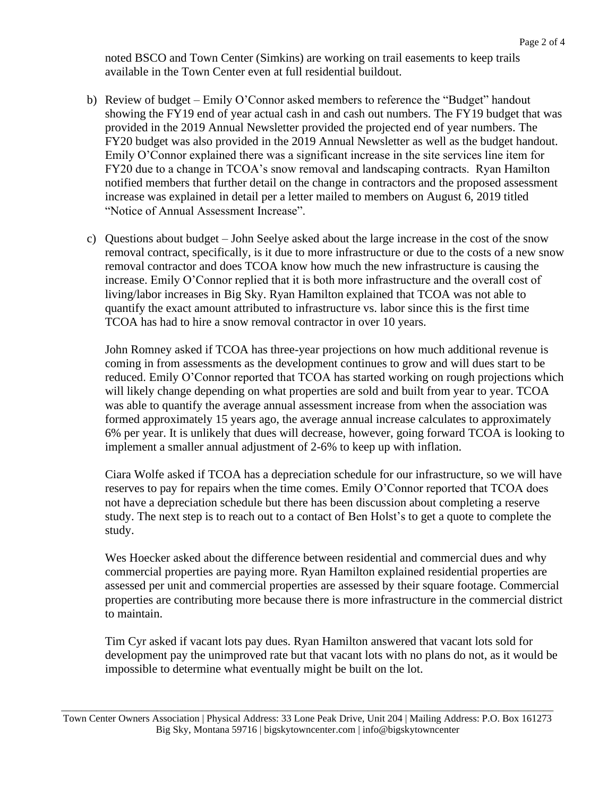noted BSCO and Town Center (Simkins) are working on trail easements to keep trails available in the Town Center even at full residential buildout.

- b) Review of budget Emily O'Connor asked members to reference the "Budget" handout showing the FY19 end of year actual cash in and cash out numbers. The FY19 budget that was provided in the 2019 Annual Newsletter provided the projected end of year numbers. The FY20 budget was also provided in the 2019 Annual Newsletter as well as the budget handout. Emily O'Connor explained there was a significant increase in the site services line item for FY20 due to a change in TCOA's snow removal and landscaping contracts. Ryan Hamilton notified members that further detail on the change in contractors and the proposed assessment increase was explained in detail per a letter mailed to members on August 6, 2019 titled "Notice of Annual Assessment Increase".
- c) Questions about budget John Seelye asked about the large increase in the cost of the snow removal contract, specifically, is it due to more infrastructure or due to the costs of a new snow removal contractor and does TCOA know how much the new infrastructure is causing the increase. Emily O'Connor replied that it is both more infrastructure and the overall cost of living/labor increases in Big Sky. Ryan Hamilton explained that TCOA was not able to quantify the exact amount attributed to infrastructure vs. labor since this is the first time TCOA has had to hire a snow removal contractor in over 10 years.

John Romney asked if TCOA has three-year projections on how much additional revenue is coming in from assessments as the development continues to grow and will dues start to be reduced. Emily O'Connor reported that TCOA has started working on rough projections which will likely change depending on what properties are sold and built from year to year. TCOA was able to quantify the average annual assessment increase from when the association was formed approximately 15 years ago, the average annual increase calculates to approximately 6% per year. It is unlikely that dues will decrease, however, going forward TCOA is looking to implement a smaller annual adjustment of 2-6% to keep up with inflation.

Ciara Wolfe asked if TCOA has a depreciation schedule for our infrastructure, so we will have reserves to pay for repairs when the time comes. Emily O'Connor reported that TCOA does not have a depreciation schedule but there has been discussion about completing a reserve study. The next step is to reach out to a contact of Ben Holst's to get a quote to complete the study.

Wes Hoecker asked about the difference between residential and commercial dues and why commercial properties are paying more. Ryan Hamilton explained residential properties are assessed per unit and commercial properties are assessed by their square footage. Commercial properties are contributing more because there is more infrastructure in the commercial district to maintain.

Tim Cyr asked if vacant lots pay dues. Ryan Hamilton answered that vacant lots sold for development pay the unimproved rate but that vacant lots with no plans do not, as it would be impossible to determine what eventually might be built on the lot.

 $\_$  ,  $\_$  ,  $\_$  ,  $\_$  ,  $\_$  ,  $\_$  ,  $\_$  ,  $\_$  ,  $\_$  ,  $\_$  ,  $\_$  ,  $\_$  ,  $\_$  ,  $\_$  ,  $\_$  ,  $\_$  ,  $\_$  ,  $\_$  ,  $\_$  ,  $\_$  ,  $\_$  ,  $\_$  ,  $\_$  ,  $\_$  ,  $\_$  ,  $\_$  ,  $\_$  ,  $\_$  ,  $\_$  ,  $\_$  ,  $\_$  ,  $\_$  ,  $\_$  ,  $\_$  ,  $\_$  ,  $\_$  ,  $\_$  , Town Center Owners Association | Physical Address: 33 Lone Peak Drive, Unit 204 | Mailing Address: P.O. Box 161273 Big Sky, Montana 59716 | bigskytowncenter.com | info@bigskytowncenter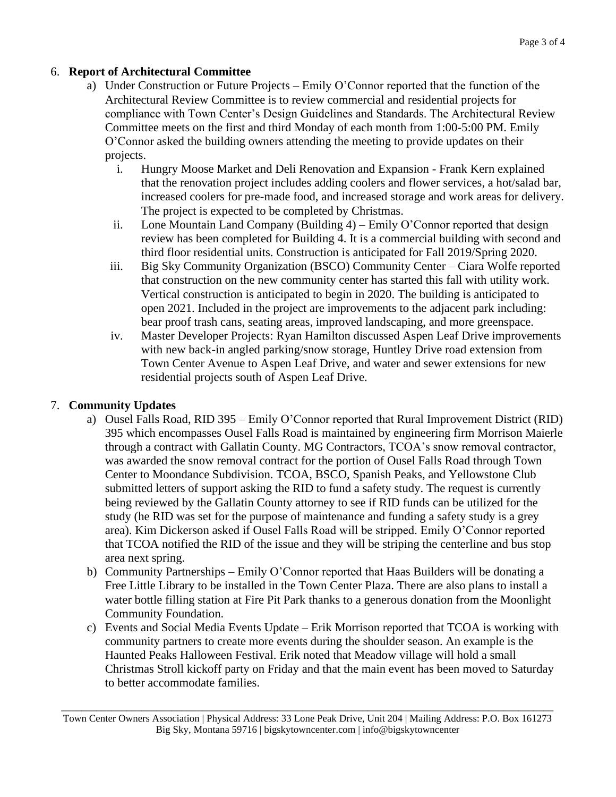### 6. **Report of Architectural Committee**

- a) Under Construction or Future Projects Emily O'Connor reported that the function of the Architectural Review Committee is to review commercial and residential projects for compliance with Town Center's Design Guidelines and Standards. The Architectural Review Committee meets on the first and third Monday of each month from 1:00-5:00 PM. Emily O'Connor asked the building owners attending the meeting to provide updates on their projects.
	- i. Hungry Moose Market and Deli Renovation and Expansion Frank Kern explained that the renovation project includes adding coolers and flower services, a hot/salad bar, increased coolers for pre-made food, and increased storage and work areas for delivery. The project is expected to be completed by Christmas.
	- ii. Lone Mountain Land Company (Building  $4$ ) Emily O'Connor reported that design review has been completed for Building 4. It is a commercial building with second and third floor residential units. Construction is anticipated for Fall 2019/Spring 2020.
	- iii. Big Sky Community Organization (BSCO) Community Center Ciara Wolfe reported that construction on the new community center has started this fall with utility work. Vertical construction is anticipated to begin in 2020. The building is anticipated to open 2021. Included in the project are improvements to the adjacent park including: bear proof trash cans, seating areas, improved landscaping, and more greenspace.
	- iv. Master Developer Projects: Ryan Hamilton discussed Aspen Leaf Drive improvements with new back-in angled parking/snow storage, Huntley Drive road extension from Town Center Avenue to Aspen Leaf Drive, and water and sewer extensions for new residential projects south of Aspen Leaf Drive.

## 7. **Community Updates**

- a) Ousel Falls Road, RID 395 Emily O'Connor reported that Rural Improvement District (RID) 395 which encompasses Ousel Falls Road is maintained by engineering firm Morrison Maierle through a contract with Gallatin County. MG Contractors, TCOA's snow removal contractor, was awarded the snow removal contract for the portion of Ousel Falls Road through Town Center to Moondance Subdivision. TCOA, BSCO, Spanish Peaks, and Yellowstone Club submitted letters of support asking the RID to fund a safety study. The request is currently being reviewed by the Gallatin County attorney to see if RID funds can be utilized for the study (he RID was set for the purpose of maintenance and funding a safety study is a grey area). Kim Dickerson asked if Ousel Falls Road will be stripped. Emily O'Connor reported that TCOA notified the RID of the issue and they will be striping the centerline and bus stop area next spring.
- b) Community Partnerships Emily O'Connor reported that Haas Builders will be donating a Free Little Library to be installed in the Town Center Plaza. There are also plans to install a water bottle filling station at Fire Pit Park thanks to a generous donation from the Moonlight Community Foundation.
- c) Events and Social Media Events Update Erik Morrison reported that TCOA is working with community partners to create more events during the shoulder season. An example is the Haunted Peaks Halloween Festival. Erik noted that Meadow village will hold a small Christmas Stroll kickoff party on Friday and that the main event has been moved to Saturday to better accommodate families.

 $\_$  ,  $\_$  ,  $\_$  ,  $\_$  ,  $\_$  ,  $\_$  ,  $\_$  ,  $\_$  ,  $\_$  ,  $\_$  ,  $\_$  ,  $\_$  ,  $\_$  ,  $\_$  ,  $\_$  ,  $\_$  ,  $\_$  ,  $\_$  ,  $\_$  ,  $\_$  ,  $\_$  ,  $\_$  ,  $\_$  ,  $\_$  ,  $\_$  ,  $\_$  ,  $\_$  ,  $\_$  ,  $\_$  ,  $\_$  ,  $\_$  ,  $\_$  ,  $\_$  ,  $\_$  ,  $\_$  ,  $\_$  ,  $\_$  , Town Center Owners Association | Physical Address: 33 Lone Peak Drive, Unit 204 | Mailing Address: P.O. Box 161273 Big Sky, Montana 59716 | bigskytowncenter.com | info@bigskytowncenter